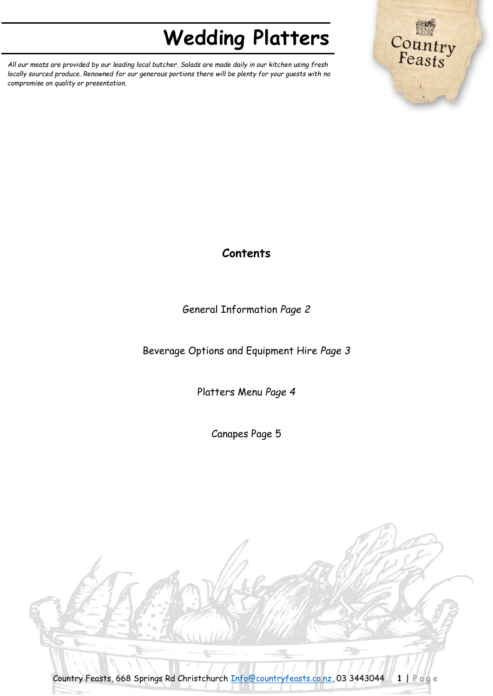*All our meats are provided by our leading local butcher. Salads are made daily in our kitchen using fresh locally sourced produce. Renowned for our generous portions there will be plenty for your guests with no compromise on quality or presentation.*



## **Contents**

### General Information *Page 2*

Beverage Options and Equipment Hire *Page 3*

Platters Menu *Page 4*

Canapes Page 5

Country Feasts, 668 Springs Rd Christchurch [Info@countryfeasts.co.nz,](mailto:Info@countryfeasts.co.nz) 03 3443044 **1** | P a g e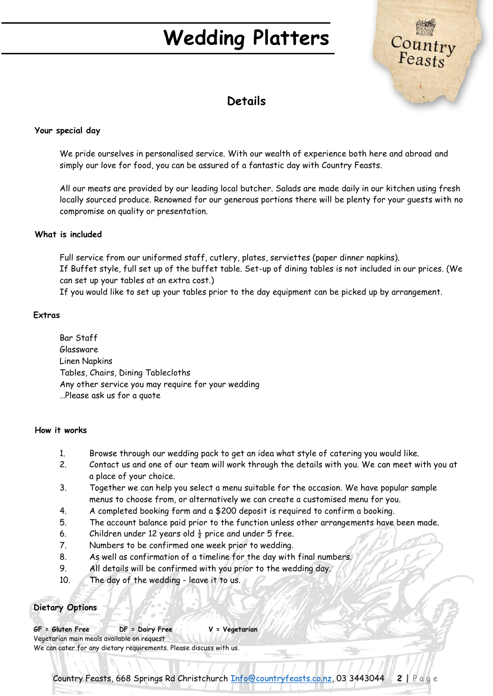

### **Details**

#### **Your special day**

We pride ourselves in personalised service. With our wealth of experience both here and abroad and simply our love for food, you can be assured of a fantastic day with Country Feasts.

All our meats are provided by our leading local butcher. Salads are made daily in our kitchen using fresh locally sourced produce. Renowned for our generous portions there will be plenty for your guests with no compromise on quality or presentation.

#### **What is included**

Full service from our uniformed staff, cutlery, plates, serviettes (paper dinner napkins). If Buffet style, full set up of the buffet table. Set-up of dining tables is not included in our prices. (We can set up your tables at an extra cost.)

If you would like to set up your tables prior to the day equipment can be picked up by arrangement.

#### **Extras**

Bar Staff Glassware Linen Napkins Tables, Chairs, Dining Tablecloths Any other service you may require for your wedding …Please ask us for a quote

#### **How it works**

- 1. Browse through our wedding pack to get an idea what style of catering you would like.
- 2. Contact us and one of our team will work through the details with you. We can meet with you at a place of your choice.
- 3. Together we can help you select a menu suitable for the occasion. We have popular sample menus to choose from, or alternatively we can create a customised menu for you.
- 4. A completed booking form and a \$200 deposit is required to confirm a booking.
- 5. The account balance paid prior to the function unless other arrangements have been made.
- 6. Children under 12 years old  $\frac{1}{2}$  price and under 5 free.
- 7. Numbers to be confirmed one week prior to wedding.
- 8. As well as confirmation of a timeline for the day with final numbers.
- 9. All details will be confirmed with you prior to the wedding day.
- 10. The day of the wedding leave it to us.

#### **Dietary Options**

**GF = Gluten Free DF = Dairy Free V = Vegetarian** Vegetarian main meals available on request We can cater for any dietary requirements. Please discuss with us.

Country Feasts, 668 Springs Rd Christchurch [Info@countryfeasts.co.nz,](mailto:Info@countryfeasts.co.nz) 03 3443044 **2** | P a g e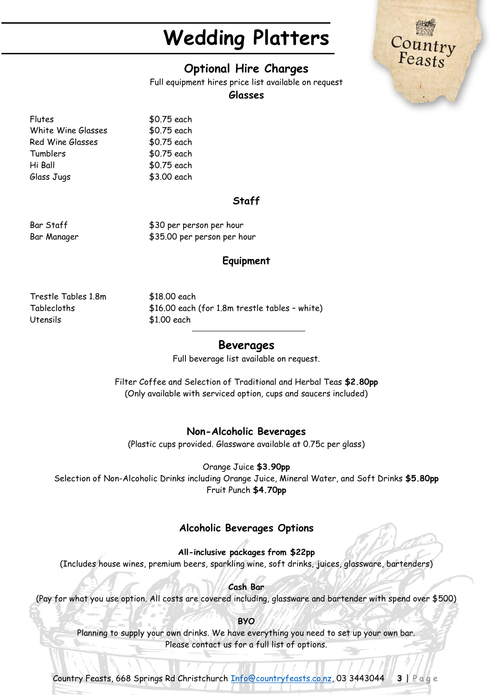### **Optional Hire Charges**

Full equipment hires price list available on request

#### **Glasses**

Flutes \$0.75 each White Wine Glasses \$0.75 each Red Wine Glasses \$0.75 each Tumblers \$0.75 each Hi Ball \$0.75 each Glass Jugs \$3.00 each

#### **Staff**

Bar Staff  $$30$  per person per hour Bar Manager  $$35.00$  per person per hour

#### **Equipment**

Trestle Tables 1.8m \$18.00 each Utensils \$1.00 each

Tablecloths \$16.00 each (for 1.8m trestle tables – white)

#### **Beverages**

Full beverage list available on request.

Filter Coffee and Selection of Traditional and Herbal Teas **\$2.80pp** (Only available with serviced option, cups and saucers included)

#### **Non-Alcoholic Beverages**

(Plastic cups provided. Glassware available at 0.75c per glass)

Orange Juice **\$3.90pp**

Selection of Non-Alcoholic Drinks including Orange Juice, Mineral Water, and Soft Drinks **\$5.80pp** Fruit Punch **\$4.70pp**

### **Alcoholic Beverages Options**

**All-inclusive packages from \$22pp** (Includes house wines, premium beers, sparkling wine, soft drinks, juices, glassware, bartenders)

**Cash Bar** (Pay for what you use option. All costs are covered including, glassware and bartender with spend over \$500)

**BYO** Planning to supply your own drinks. We have everything you need to set up your own bar. Please contact us for a full list of options.

Country Feasts, 668 Springs Rd Christchurch [Info@countryfeasts.co.nz,](mailto:Info@countryfeasts.co.nz) 03 3443044 **3** | P a g e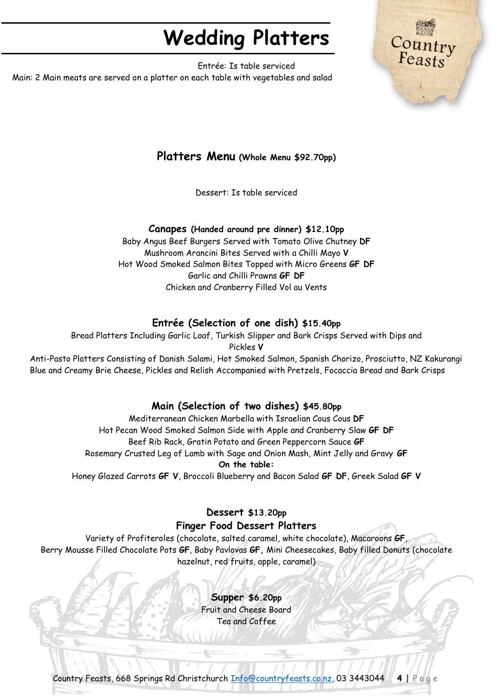Countr<br>Feasts

Entrée: Is table serviced Main: 2 Main meats are served on a platter on each table with vegetables and salad

### **Platters Menu (Whole Menu \$92.70pp)**

Dessert: Is table serviced

#### **Canapes (Handed around pre dinner) \$12.10pp**

Baby Angus Beef Burgers Served with Tomato Olive Chutney **DF** Mushroom Arancini Bites Served with a Chilli Mayo **V** Hot Wood Smoked Salmon Bites Topped with Micro Greens **GF DF** Garlic and Chilli Prawns **GF DF** Chicken and Cranberry Filled Vol au Vents

### **Entrée (Selection of one dish) \$15.40pp**

Bread Platters Including Garlic Loaf, Turkish Slipper and Bark Crisps Served with Dips and

Pickles **V**

Anti-Pasto Platters Consisting of Danish Salami, Hot Smoked Salmon, Spanish Chorizo, Prosciutto, NZ Kakurangi Blue and Creamy Brie Cheese, Pickles and Relish Accompanied with Pretzels, Focaccia Bread and Bark Crisps

### **Main (Selection of two dishes) \$45.80pp**

Mediterranean Chicken Marbella with Israelian Cous Cous **DF** Hot Pecan Wood Smoked Salmon Side with Apple and Cranberry Slaw **GF DF** Beef Rib Rack, Gratin Potato and Green Peppercorn Sauce **GF** Rosemary Crusted Leg of Lamb with Sage and Onion Mash, Mint Jelly and Gravy **GF On the table:**

Honey Glazed Carrots **GF V**, Broccoli Blueberry and Bacon Salad **GF DF**, Greek Salad **GF V**

#### **Dessert \$13.20pp Finger Food Dessert Platters**

Variety of Profiteroles (chocolate, salted caramel, white chocolate), Macaroons **GF**, Berry Mousse Filled Chocolate Pots **GF**, Baby Pavlovas **GF,** Mini Cheesecakes, Baby filled Donuts (chocolate hazelnut, red fruits, apple, caramel)

> **Supper \$6.20pp** Fruit and Cheese Board Tea and Coffee

Country Feasts, 668 Springs Rd Christchurch [Info@countryfeasts.co.nz,](mailto:Info@countryfeasts.co.nz) 03 3443044 **4** | P a g e